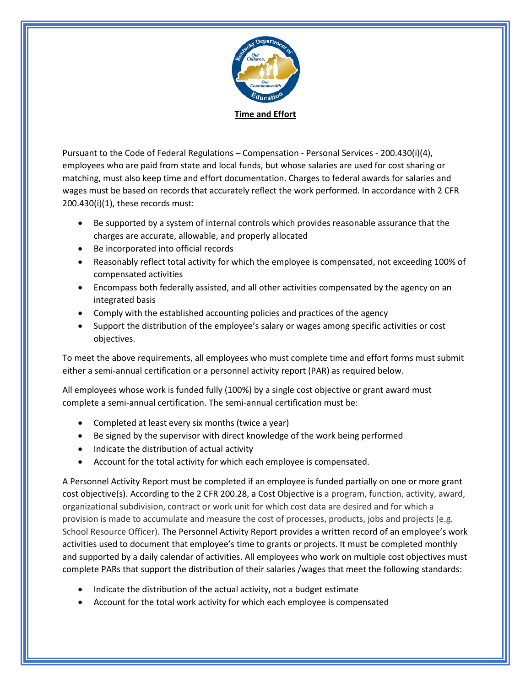

Pursuant to the Code of Federal Regulations – Compensation - Personal Services - 200.430(i)(4), employees who are paid from state and local funds, but whose salaries are used for cost sharing or matching, must also keep time and effort documentation. Charges to federal awards for salaries and wages must be based on records that accurately reflect the work performed. In accordance with 2 CFR 200.430(i)(1), these records must:

- Be supported by a system of internal controls which provides reasonable assurance that the charges are accurate, allowable, and properly allocated
- Be incorporated into official records
- Reasonably reflect total activity for which the employee is compensated, not exceeding 100% of compensated activities
- Encompass both federally assisted, and all other activities compensated by the agency on an integrated basis
- Comply with the established accounting policies and practices of the agency
- Support the distribution of the employee's salary or wages among specific activities or cost objectives.

To meet the above requirements, all employees who must complete time and effort forms must submit either a semi-annual certification or a personnel activity report (PAR) as required below.

All employees whose work is funded fully (100%) by a single cost objective or grant award must complete a semi-annual certification. The semi-annual certification must be:

- Completed at least every six months (twice a year)
- Be signed by the supervisor with direct knowledge of the work being performed
- Indicate the distribution of actual activity
- Account for the total activity for which each employee is compensated.

A Personnel Activity Report must be completed if an employee is funded partially on one or more grant cost objective(s). According to the 2 CFR 200.28, a Cost Objective is a program, function, activity, award, organizational subdivision, contract or work unit for which cost data are desired and for which a provision is made to accumulate and measure the cost of processes, products, jobs and projects (e.g. School Resource Officer). The Personnel Activity Report provides a written record of an employee's work activities used to document that employee's time to grants or projects. It must be completed monthly and supported by a daily calendar of activities. All employees who work on multiple cost objectives must complete PARs that support the distribution of their salaries /wages that meet the following standards:

- Indicate the distribution of the actual activity, not a budget estimate
- Account for the total work activity for which each employee is compensated